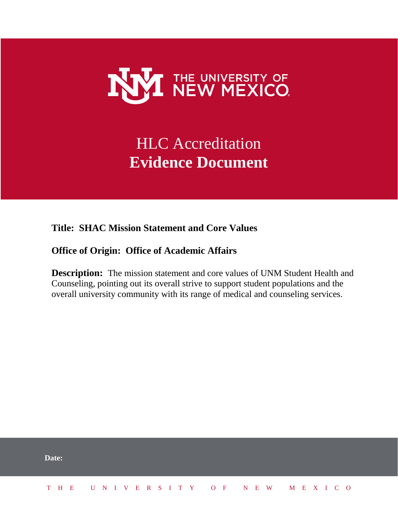

## HLC Accreditation **Evidence Document**

**Title: SHAC Mission Statement and Core Values**

**Office of Origin: Office of Academic Affairs**

**Description:** The mission statement and core values of UNM Student Health and Counseling, pointing out its overall strive to support student populations and the overall university community with its range of medical and counseling services.